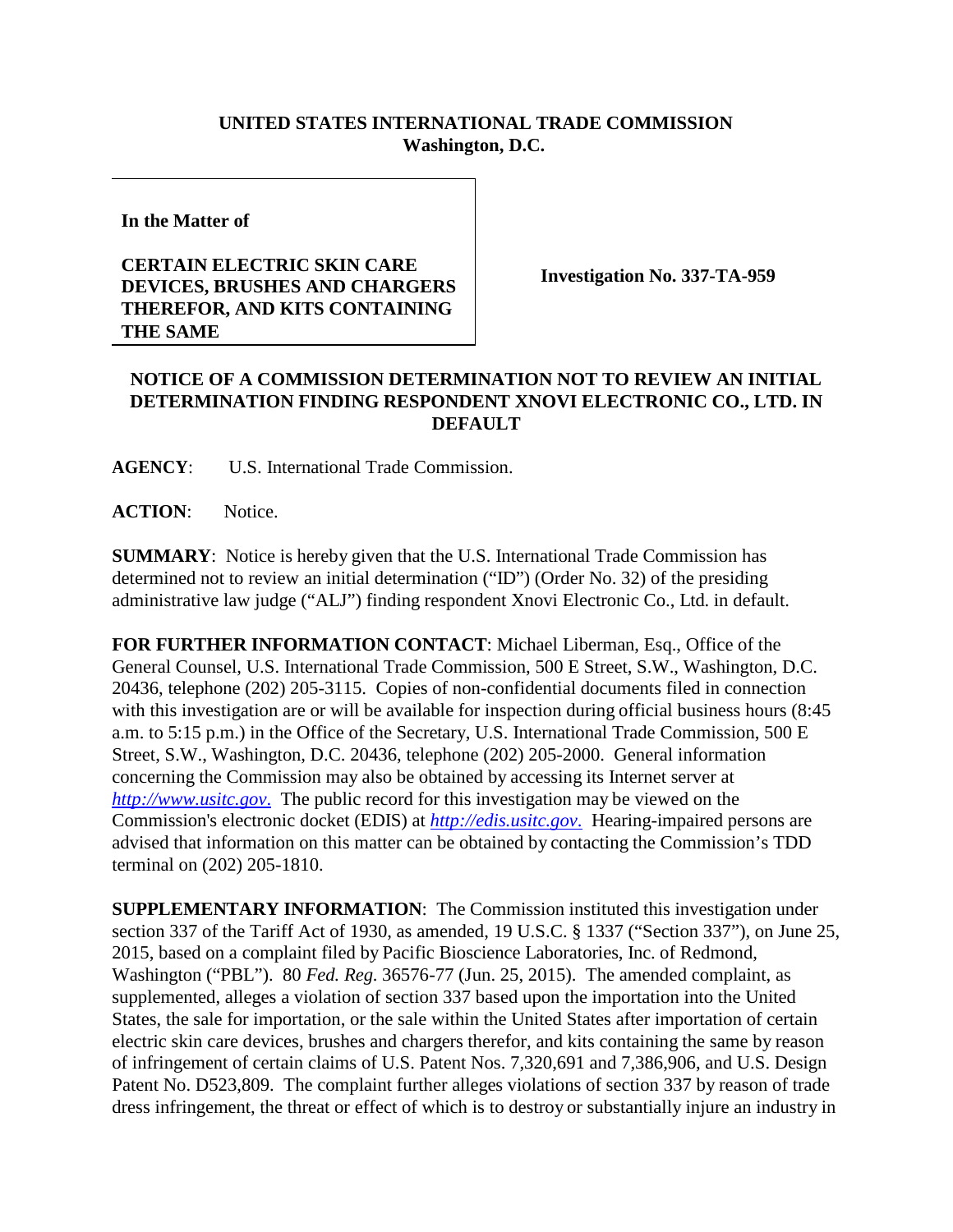## **UNITED STATES INTERNATIONAL TRADE COMMISSION Washington, D.C.**

**In the Matter of**

## **CERTAIN ELECTRIC SKIN CARE DEVICES, BRUSHES AND CHARGERS THEREFOR, AND KITS CONTAINING THE SAME**

**Investigation No. 337-TA-959**

## **NOTICE OF A COMMISSION DETERMINATION NOT TO REVIEW AN INITIAL DETERMINATION FINDING RESPONDENT XNOVI ELECTRONIC CO., LTD. IN DEFAULT**

**AGENCY**: U.S. International Trade Commission.

**ACTION**: Notice.

**SUMMARY**: Notice is hereby given that the U.S. International Trade Commission has determined not to review an initial determination ("ID") (Order No. 32) of the presiding administrative law judge ("ALJ") finding respondent Xnovi Electronic Co., Ltd. in default.

**FOR FURTHER INFORMATION CONTACT**: Michael Liberman, Esq., Office of the General Counsel, U.S. International Trade Commission, 500 E Street, S.W., Washington, D.C. 20436, telephone (202) 205-3115. Copies of non-confidential documents filed in connection with this investigation are or will be available for inspection during official business hours (8:45 a.m. to 5:15 p.m.) in the Office of the Secretary, U.S. International Trade Commission, 500 E Street, S.W., Washington, D.C. 20436, telephone (202) 205-2000. General information concerning the Commission may also be obtained by accessing its Internet server at *[http://www.usitc.gov](http://www.usitc.gov./)*. The public record for this investigation may be viewed on the Commission's electronic docket (EDIS) at *[http://edis.usitc.gov](http://edis.usitc.gov./)*. Hearing-impaired persons are advised that information on this matter can be obtained by contacting the Commission's TDD terminal on (202) 205-1810.

**SUPPLEMENTARY INFORMATION**: The Commission instituted this investigation under section 337 of the Tariff Act of 1930, as amended, 19 U.S.C. § 1337 ("Section 337"), on June 25, 2015, based on a complaint filed by Pacific Bioscience Laboratories, Inc. of Redmond, Washington ("PBL"). 80 *Fed. Reg.* 36576-77 (Jun. 25, 2015). The amended complaint, as supplemented, alleges a violation of section 337 based upon the importation into the United States, the sale for importation, or the sale within the United States after importation of certain electric skin care devices, brushes and chargers therefor, and kits containing the same by reason of infringement of certain claims of U.S. Patent Nos. 7,320,691 and 7,386,906, and U.S. Design Patent No. D523,809. The complaint further alleges violations of section 337 by reason of trade dress infringement, the threat or effect of which is to destroy or substantially injure an industry in